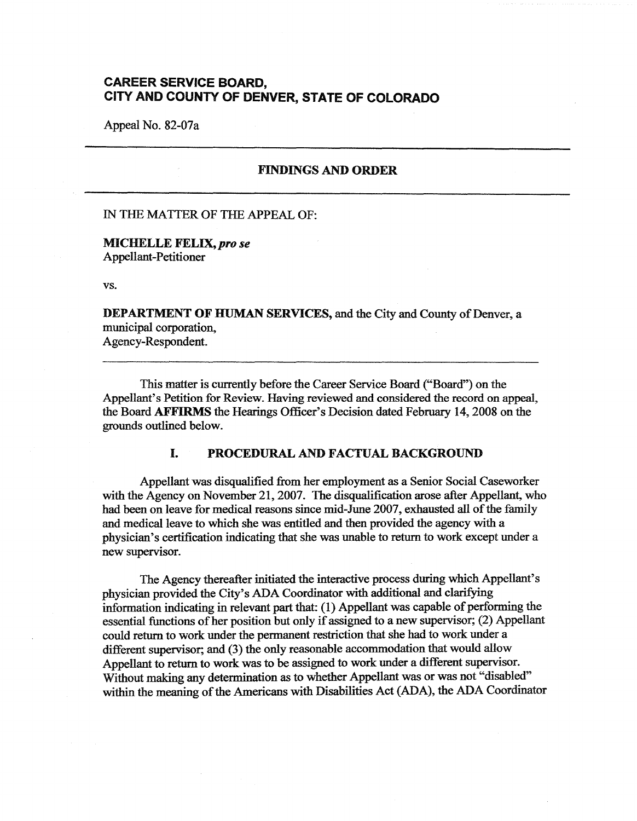# **CAREER SERVICE BOARD, CITY AND COUNTY OF DENVER, STATE OF COLORADO**

Appeal No. 82-07a

### **FINDINGS AND ORDER**

#### IN THE MATTER OF THE APPEAL OF:

**MICHELLEFELIX,prose**  Appellant-Petitioner

vs.

**DEPARTMENT OF HUMAN SERVICES,** and the City and County of Denver, a municipal corporation, Agency-Respondent.

This matter is currently before the Career Service Board ("Board") on the Appellant's Petition for Review. Having reviewed and considered the record on appeal, the Board **AFFIRMS** the Hearings Officer's Decision dated February 14, 2008 on the grounds outlined below.

## I. **PROCEDURAL AND FACTUAL BACKGROUND**

Appellant was disqualified from her employment as a Senior Social Caseworker with the Agency on November 21, 2007. The disqualification arose after Appellant, who had been on leave for medical reasons since mid-June 2007, exhausted all of the family and medical leave to which she was entitled and then provided the agency with a physician's certification indicating that she was unable to return to work except under a new supervisor.

The Agency thereafter initiated the interactive process during which Appellant's physician provided the City's ADA Coordinator with additional and clarifying information indicating in relevant part that: (1) Appellant was capable of performing the essential functions of her position but only if assigned to a new supervisor; (2) Appellant could return to work under the permanent restriction that she had to work under a different supervisor; and (3) the only reasonable accommodation that would allow Appellant to return to work was to be assigned to work under a different supervisor. Without making any determination as to whether Appellant was or was not "disabled" within the meaning of the Americans with Disabilities Act (ADA), the ADA Coordinator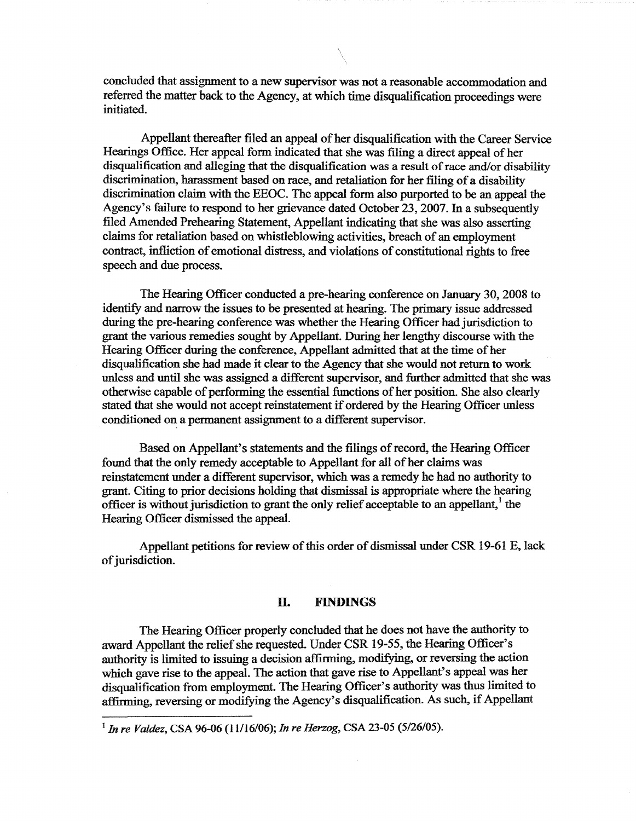concluded that assignment to a new supervisor was not a reasonable accommodation and referred the matter back to the Agency, at which time disqualification proceedings were initiated.

Appellant thereafter filed an appeal of her disqualification with the Career Service Hearings Office. Her appeal form indicated that she was filing a direct appeal of her disqualification and alleging that the disqualification was a result of race and/or disability discrimination, harassment based on race, and retaliation for her filing of a disability discrimination claim with the EEOC. The appeal form also purported to be an appeal the Agency's failure to respond to her grievance dated October 23, 2007. In a subsequently filed Amended Prehearing Statement, Appellant indicating that she was also asserting claims for retaliation based on whistleblowing activities, breach of an employment contract, infliction of emotional distress, and violations of constitutional rights to free speech and due process.

The Hearing Officer conducted a pre-hearing conference on January 30, 2008 to identify and narrow the issues to be presented at hearing. The primary issue addressed during the pre-hearing conference was whether the Hearing Officer had jurisdiction to grant the various remedies sought by Appellant. During her lengthy discourse with the Hearing Officer during the conference, Appellant admitted that at the time of her disqualification she had made it clear to the Agency that she would not return to work unless and until she was assigned a different supervisor, and further admitted that she was otherwise capable of performing the essential functions of her position. She also clearly stated that she would not accept reinstatement if ordered by the Hearing Officer unless conditioned on a permanent assignment to a different supervisor.

Based on Appellant's statements and the filings of record, the Hearing Officer found that the only remedy acceptable to Appellant for all of her claims was reinstatement under a different supervisor, which was a remedy he had no authority to grant. Citing to prior decisions holding that dismissal is appropriate where the hearing officer is without jurisdiction to grant the only relief acceptable to an appellant,  $\frac{1}{1}$  the Hearing Officer dismissed the appeal.

Appellant petitions for review of this order of dismissal under CSR 19-61 E, lack of jurisdiction.

### Il. **FINDINGS**

The Hearing Officer properly concluded that he does not have the authority to award Appellant the relief she requested. Under CSR 19-55, the Hearing Officer's authority is limited to issuing a decision affirming, modifying, or reversing the action which gave rise to the appeal. The action that gave rise to Appellant's appeal was her disqualification from employment. The Hearing Officer's authority was thus limited to affirming, reversing or modifying the Agency's disqualification. As such, if Appellant

<sup>1</sup> *In re Valdez,* CSA 96-06 (11/16/06); *In re Herzog,* CSA 23-05 (5/26/05).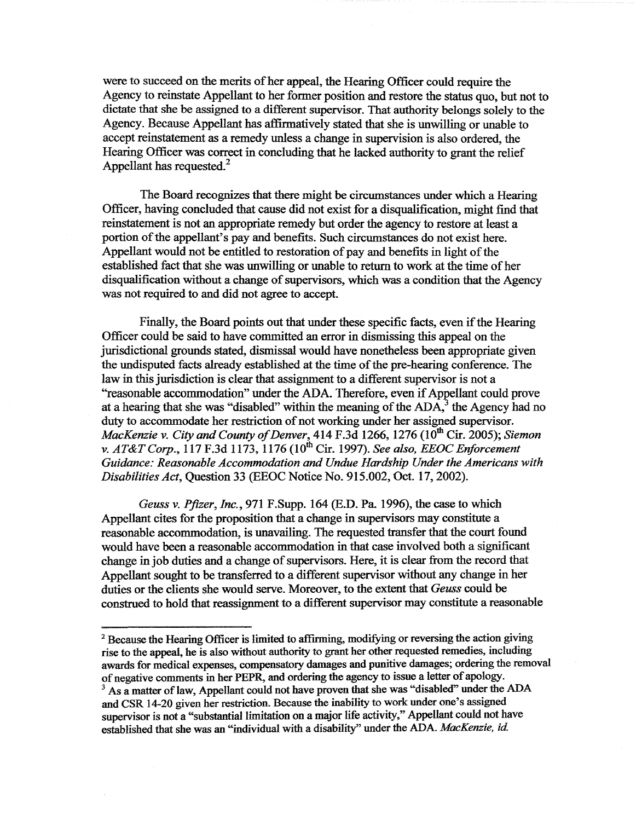were to succeed on the merits of her appeal, the Hearing Officer could require the Agency to reinstate Appellant to her former position and restore the status quo, but not to dictate that she be assigned to a different supervisor. That authority belongs solely to the Agency. Because Appellant has affirmatively stated that she is unwilling or unable to accept reinstatement as a remedy unless a change in supervision is also ordered, the Hearing Officer was correct in concluding that he lacked authority to grant the relief Appellant has requested.<sup>2</sup>

The Board recognizes that there might be circumstances under which a Hearing Officer, having concluded that cause did not exist for a disqualification, might find that reinstatement is not an appropriate remedy but order the agency to restore at least a portion of the appellant's pay and benefits. Such circumstances do not exist here. Appellant would not be entitled to restoration of pay and benefits in light of the established fact that she was unwilling or unable to return to work at the time of her disqualification without a change of supervisors, which was a condition that the Agency was not required to and did not agree to accept.

Finally, the Board points out that under these specific facts, even if the Hearing Officer could be said to have committed an error in dismissing this appeal on the jurisdictional grounds stated, dismissal would have nonetheless been appropriate given the undisputed facts already established at the time of the pre-hearing conference. The law in this jurisdiction is clear that assignment to a different supervisor is not a "reasonable accommodation" under the ADA. Therefore, even if Appellant could prove at a hearing that she was "disabled" within the meaning of the  $ADA$ , the Agency had no duty to accommodate her restriction of not working under her assigned supervisor. *MacKenzie v. City and County of Denver*, 414 F.3d 1266, 1276 (10<sup>th</sup> Cir. 2005); *Siemon v. AT&T Corp.*, 117 F.3d 1173, 1176 (10<sup>th</sup> Cir. 1997). *See also, EEOC Enforcement Guidance: Reasonable Accommodation and Undue Hardship Under the Americans with Disabilities Act,* Question 33 (EEOC Notice No. 915.002, Oct. 17, 2002).

*Geuss v. Pfizer, Inc., 971 F.Supp. 164 (E.D. Pa. 1996), the case to which* Appellant cites for the proposition that a change in supervisors may constitute a reasonable accommodation, is unavailing. The requested transfer that the court found would have been a reasonable accommodation in that case involved both a significant change in job duties and a change of supervisors. Here, it is clear from the record that Appellant sought to be transferred to a different supervisor without any change in her duties or the clients she would serve. Moreover, to the extent that *Geuss* could be construed to hold that reassignment to a different supervisor may constitute a reasonable

<sup>&</sup>lt;sup>2</sup> Because the Hearing Officer is limited to affirming, modifying or reversing the action giving rise to the appeal, he is also without authority to grant her other requested remedies, including awards for medical expenses, compensatory damages and punitive damages; ordering the removal of negative comments in her PEPR, and ordering the agency to issue a letter of apology.

<sup>&</sup>lt;sup>3</sup> As a matter of law, Appellant could not have proven that she was "disabled" under the ADA and CSR 14-20 given her restriction. Because the inability to work under one's assigned supervisor is not a "substantial limitation on a major life activity," Appellant could not have established that she was an "individual with a disability" under the ADA. *MacKenzie, id*